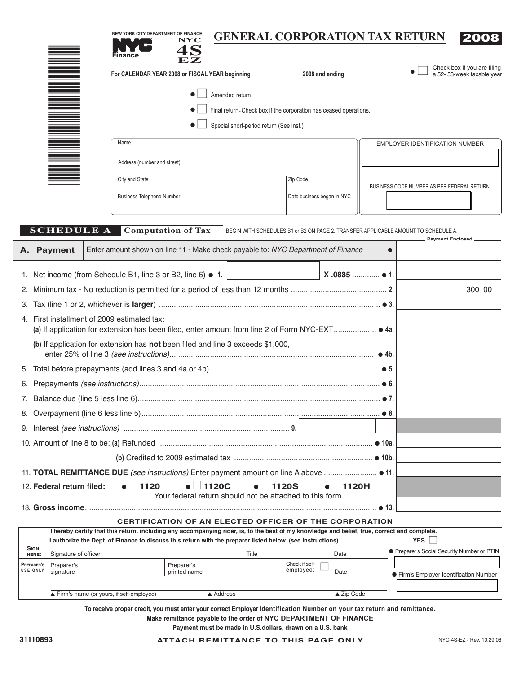| ${\bf E} {\bf Z}$<br>Check box if you are filing<br>N HIELEN<br>For CALENDAR YEAR 2008 or FISCAL YEAR beginning ________________________2008 and ending ____________<br>a 52-53-week taxable year<br>Amended return<br>Final return - Check box if the corporation has ceased operations.<br>Special short-period return (See inst.)<br>Name<br><b>EMPLOYER IDENTIFICATION NUMBER</b><br>Address (number and street)<br>City and State<br>Zip Code<br>BUSINESS CODE NUMBER AS PER FEDERAL RETURN<br><b>Business Telephone Number</b><br>Date business began in NYC<br><b>SCHEDULE A</b><br><b>Computation of Tax</b><br>BEGIN WITH SCHEDULES B1 or B2 ON PAGE 2. TRANSFER APPLICABLE AMOUNT TO SCHEDULE A.<br><b>Payment Enclosed</b><br>Enter amount shown on line 11 - Make check payable to: NYC Department of Finance<br>$\bullet$<br>X.0885  ● 1.<br>1. Net income (from Schedule B1, line 3 or B2, line 6) • 1.<br>300 00<br>4. First installment of 2009 estimated tax:<br>(b) If application for extension has not been filed and line 3 exceeds \$1,000,<br>$\bullet$ 1120<br>$\bullet$ 1120C<br>1120H<br><b>1120S</b><br>12. Federal return filed:<br>Your federal return should not be attached to this form.<br>● 13.<br><b>CERTIFICATION OF AN ELECTED OFFICER OF THE CORPORATION</b><br>I hereby certify that this return, including any accompanying rider, is, to the best of my knowledge and belief, true, correct and complete.<br><b>SIGN</b><br>• Preparer's Social Security Number or PTIN<br>Signature of officer<br>Title<br>Date<br>HERE:<br>Check if self-<br>Preparer's<br>Preparer's<br>Preparer's<br>employed:<br><b>USE ONLY</b><br>Date<br>signature<br>printed name<br><b>•</b> Firm's Employer Identification Number<br>Firm's name (or yours, if self-employed)<br>$\triangle$ Zip Code<br>▲ Address |  |  | Finance | NEW YORK CITY DEPARTMENT OF FINANCE |  | <b>GENERAL CORPORATION TAX RETURN</b> |  |  |  |  |  |  |
|----------------------------------------------------------------------------------------------------------------------------------------------------------------------------------------------------------------------------------------------------------------------------------------------------------------------------------------------------------------------------------------------------------------------------------------------------------------------------------------------------------------------------------------------------------------------------------------------------------------------------------------------------------------------------------------------------------------------------------------------------------------------------------------------------------------------------------------------------------------------------------------------------------------------------------------------------------------------------------------------------------------------------------------------------------------------------------------------------------------------------------------------------------------------------------------------------------------------------------------------------------------------------------------------------------------------------------------------------------------------------------------------------------------------------------------------------------------------------------------------------------------------------------------------------------------------------------------------------------------------------------------------------------------------------------------------------------------------------------------------------------------------------------------------------------------------------------------|--|--|---------|-------------------------------------|--|---------------------------------------|--|--|--|--|--|--|
| A. Payment                                                                                                                                                                                                                                                                                                                                                                                                                                                                                                                                                                                                                                                                                                                                                                                                                                                                                                                                                                                                                                                                                                                                                                                                                                                                                                                                                                                                                                                                                                                                                                                                                                                                                                                                                                                                                             |  |  |         |                                     |  |                                       |  |  |  |  |  |  |
|                                                                                                                                                                                                                                                                                                                                                                                                                                                                                                                                                                                                                                                                                                                                                                                                                                                                                                                                                                                                                                                                                                                                                                                                                                                                                                                                                                                                                                                                                                                                                                                                                                                                                                                                                                                                                                        |  |  |         |                                     |  |                                       |  |  |  |  |  |  |
|                                                                                                                                                                                                                                                                                                                                                                                                                                                                                                                                                                                                                                                                                                                                                                                                                                                                                                                                                                                                                                                                                                                                                                                                                                                                                                                                                                                                                                                                                                                                                                                                                                                                                                                                                                                                                                        |  |  |         |                                     |  |                                       |  |  |  |  |  |  |
|                                                                                                                                                                                                                                                                                                                                                                                                                                                                                                                                                                                                                                                                                                                                                                                                                                                                                                                                                                                                                                                                                                                                                                                                                                                                                                                                                                                                                                                                                                                                                                                                                                                                                                                                                                                                                                        |  |  |         |                                     |  |                                       |  |  |  |  |  |  |
|                                                                                                                                                                                                                                                                                                                                                                                                                                                                                                                                                                                                                                                                                                                                                                                                                                                                                                                                                                                                                                                                                                                                                                                                                                                                                                                                                                                                                                                                                                                                                                                                                                                                                                                                                                                                                                        |  |  |         |                                     |  |                                       |  |  |  |  |  |  |
|                                                                                                                                                                                                                                                                                                                                                                                                                                                                                                                                                                                                                                                                                                                                                                                                                                                                                                                                                                                                                                                                                                                                                                                                                                                                                                                                                                                                                                                                                                                                                                                                                                                                                                                                                                                                                                        |  |  |         |                                     |  |                                       |  |  |  |  |  |  |
|                                                                                                                                                                                                                                                                                                                                                                                                                                                                                                                                                                                                                                                                                                                                                                                                                                                                                                                                                                                                                                                                                                                                                                                                                                                                                                                                                                                                                                                                                                                                                                                                                                                                                                                                                                                                                                        |  |  |         |                                     |  |                                       |  |  |  |  |  |  |
|                                                                                                                                                                                                                                                                                                                                                                                                                                                                                                                                                                                                                                                                                                                                                                                                                                                                                                                                                                                                                                                                                                                                                                                                                                                                                                                                                                                                                                                                                                                                                                                                                                                                                                                                                                                                                                        |  |  |         |                                     |  |                                       |  |  |  |  |  |  |
|                                                                                                                                                                                                                                                                                                                                                                                                                                                                                                                                                                                                                                                                                                                                                                                                                                                                                                                                                                                                                                                                                                                                                                                                                                                                                                                                                                                                                                                                                                                                                                                                                                                                                                                                                                                                                                        |  |  |         |                                     |  |                                       |  |  |  |  |  |  |
|                                                                                                                                                                                                                                                                                                                                                                                                                                                                                                                                                                                                                                                                                                                                                                                                                                                                                                                                                                                                                                                                                                                                                                                                                                                                                                                                                                                                                                                                                                                                                                                                                                                                                                                                                                                                                                        |  |  |         |                                     |  |                                       |  |  |  |  |  |  |
|                                                                                                                                                                                                                                                                                                                                                                                                                                                                                                                                                                                                                                                                                                                                                                                                                                                                                                                                                                                                                                                                                                                                                                                                                                                                                                                                                                                                                                                                                                                                                                                                                                                                                                                                                                                                                                        |  |  |         |                                     |  |                                       |  |  |  |  |  |  |
|                                                                                                                                                                                                                                                                                                                                                                                                                                                                                                                                                                                                                                                                                                                                                                                                                                                                                                                                                                                                                                                                                                                                                                                                                                                                                                                                                                                                                                                                                                                                                                                                                                                                                                                                                                                                                                        |  |  |         |                                     |  |                                       |  |  |  |  |  |  |
|                                                                                                                                                                                                                                                                                                                                                                                                                                                                                                                                                                                                                                                                                                                                                                                                                                                                                                                                                                                                                                                                                                                                                                                                                                                                                                                                                                                                                                                                                                                                                                                                                                                                                                                                                                                                                                        |  |  |         |                                     |  |                                       |  |  |  |  |  |  |
|                                                                                                                                                                                                                                                                                                                                                                                                                                                                                                                                                                                                                                                                                                                                                                                                                                                                                                                                                                                                                                                                                                                                                                                                                                                                                                                                                                                                                                                                                                                                                                                                                                                                                                                                                                                                                                        |  |  |         |                                     |  |                                       |  |  |  |  |  |  |
|                                                                                                                                                                                                                                                                                                                                                                                                                                                                                                                                                                                                                                                                                                                                                                                                                                                                                                                                                                                                                                                                                                                                                                                                                                                                                                                                                                                                                                                                                                                                                                                                                                                                                                                                                                                                                                        |  |  |         |                                     |  |                                       |  |  |  |  |  |  |
|                                                                                                                                                                                                                                                                                                                                                                                                                                                                                                                                                                                                                                                                                                                                                                                                                                                                                                                                                                                                                                                                                                                                                                                                                                                                                                                                                                                                                                                                                                                                                                                                                                                                                                                                                                                                                                        |  |  |         |                                     |  |                                       |  |  |  |  |  |  |
|                                                                                                                                                                                                                                                                                                                                                                                                                                                                                                                                                                                                                                                                                                                                                                                                                                                                                                                                                                                                                                                                                                                                                                                                                                                                                                                                                                                                                                                                                                                                                                                                                                                                                                                                                                                                                                        |  |  |         |                                     |  |                                       |  |  |  |  |  |  |
|                                                                                                                                                                                                                                                                                                                                                                                                                                                                                                                                                                                                                                                                                                                                                                                                                                                                                                                                                                                                                                                                                                                                                                                                                                                                                                                                                                                                                                                                                                                                                                                                                                                                                                                                                                                                                                        |  |  |         |                                     |  |                                       |  |  |  |  |  |  |
|                                                                                                                                                                                                                                                                                                                                                                                                                                                                                                                                                                                                                                                                                                                                                                                                                                                                                                                                                                                                                                                                                                                                                                                                                                                                                                                                                                                                                                                                                                                                                                                                                                                                                                                                                                                                                                        |  |  |         |                                     |  |                                       |  |  |  |  |  |  |
|                                                                                                                                                                                                                                                                                                                                                                                                                                                                                                                                                                                                                                                                                                                                                                                                                                                                                                                                                                                                                                                                                                                                                                                                                                                                                                                                                                                                                                                                                                                                                                                                                                                                                                                                                                                                                                        |  |  |         |                                     |  |                                       |  |  |  |  |  |  |
|                                                                                                                                                                                                                                                                                                                                                                                                                                                                                                                                                                                                                                                                                                                                                                                                                                                                                                                                                                                                                                                                                                                                                                                                                                                                                                                                                                                                                                                                                                                                                                                                                                                                                                                                                                                                                                        |  |  |         |                                     |  |                                       |  |  |  |  |  |  |
|                                                                                                                                                                                                                                                                                                                                                                                                                                                                                                                                                                                                                                                                                                                                                                                                                                                                                                                                                                                                                                                                                                                                                                                                                                                                                                                                                                                                                                                                                                                                                                                                                                                                                                                                                                                                                                        |  |  |         |                                     |  |                                       |  |  |  |  |  |  |
|                                                                                                                                                                                                                                                                                                                                                                                                                                                                                                                                                                                                                                                                                                                                                                                                                                                                                                                                                                                                                                                                                                                                                                                                                                                                                                                                                                                                                                                                                                                                                                                                                                                                                                                                                                                                                                        |  |  |         |                                     |  |                                       |  |  |  |  |  |  |
|                                                                                                                                                                                                                                                                                                                                                                                                                                                                                                                                                                                                                                                                                                                                                                                                                                                                                                                                                                                                                                                                                                                                                                                                                                                                                                                                                                                                                                                                                                                                                                                                                                                                                                                                                                                                                                        |  |  |         |                                     |  |                                       |  |  |  |  |  |  |
|                                                                                                                                                                                                                                                                                                                                                                                                                                                                                                                                                                                                                                                                                                                                                                                                                                                                                                                                                                                                                                                                                                                                                                                                                                                                                                                                                                                                                                                                                                                                                                                                                                                                                                                                                                                                                                        |  |  |         |                                     |  |                                       |  |  |  |  |  |  |
|                                                                                                                                                                                                                                                                                                                                                                                                                                                                                                                                                                                                                                                                                                                                                                                                                                                                                                                                                                                                                                                                                                                                                                                                                                                                                                                                                                                                                                                                                                                                                                                                                                                                                                                                                                                                                                        |  |  |         |                                     |  |                                       |  |  |  |  |  |  |
|                                                                                                                                                                                                                                                                                                                                                                                                                                                                                                                                                                                                                                                                                                                                                                                                                                                                                                                                                                                                                                                                                                                                                                                                                                                                                                                                                                                                                                                                                                                                                                                                                                                                                                                                                                                                                                        |  |  |         |                                     |  |                                       |  |  |  |  |  |  |
|                                                                                                                                                                                                                                                                                                                                                                                                                                                                                                                                                                                                                                                                                                                                                                                                                                                                                                                                                                                                                                                                                                                                                                                                                                                                                                                                                                                                                                                                                                                                                                                                                                                                                                                                                                                                                                        |  |  |         |                                     |  |                                       |  |  |  |  |  |  |
|                                                                                                                                                                                                                                                                                                                                                                                                                                                                                                                                                                                                                                                                                                                                                                                                                                                                                                                                                                                                                                                                                                                                                                                                                                                                                                                                                                                                                                                                                                                                                                                                                                                                                                                                                                                                                                        |  |  |         |                                     |  |                                       |  |  |  |  |  |  |
|                                                                                                                                                                                                                                                                                                                                                                                                                                                                                                                                                                                                                                                                                                                                                                                                                                                                                                                                                                                                                                                                                                                                                                                                                                                                                                                                                                                                                                                                                                                                                                                                                                                                                                                                                                                                                                        |  |  |         |                                     |  |                                       |  |  |  |  |  |  |
|                                                                                                                                                                                                                                                                                                                                                                                                                                                                                                                                                                                                                                                                                                                                                                                                                                                                                                                                                                                                                                                                                                                                                                                                                                                                                                                                                                                                                                                                                                                                                                                                                                                                                                                                                                                                                                        |  |  |         |                                     |  |                                       |  |  |  |  |  |  |

**To receive proper credit, you must enter your correct Employer Identification Number on your tax return and remittance.**

**Make remittance payable to the order of NYC DEPARTMENT OF FINANCE**

**Payment must be made in U.S.dollars, drawn on a U.S. bank**